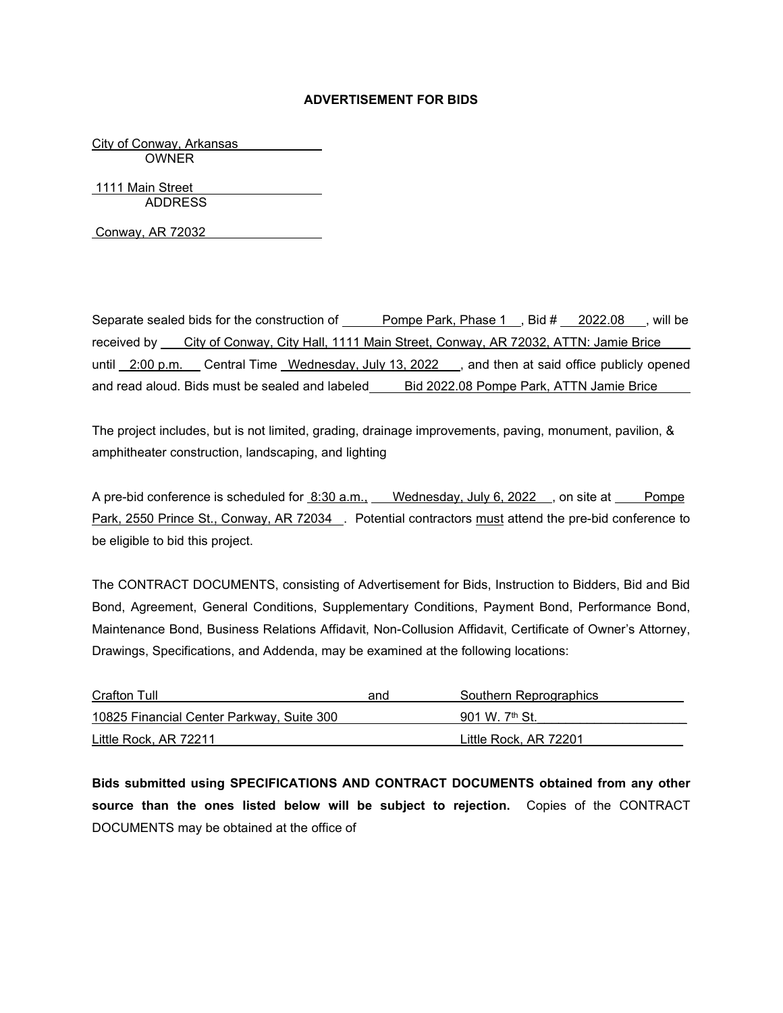## **ADVERTISEMENT FOR BIDS**

City of Conway, Arkansas OWNER

1111 Main Street ADDRESS

Conway, AR 72032

Separate sealed bids for the construction of Pompe Park, Phase 1, Bid # 2022.08, will be received by City of Conway, City Hall, 1111 Main Street, Conway, AR 72032, ATTN: Jamie Brice until 2:00 p.m. Central Time Wednesday, July 13, 2022 , and then at said office publicly opened and read aloud. Bids must be sealed and labeled Bid 2022.08 Pompe Park, ATTN Jamie Brice

The project includes, but is not limited, grading, drainage improvements, paving, monument, pavilion, & amphitheater construction, landscaping, and lighting

A pre-bid conference is scheduled for 8:30 a.m., Wednesday, July 6, 2022 , on site at Pompe Park, 2550 Prince St., Conway, AR 72034 . Potential contractors must attend the pre-bid conference to be eligible to bid this project.

The CONTRACT DOCUMENTS, consisting of Advertisement for Bids, Instruction to Bidders, Bid and Bid Bond, Agreement, General Conditions, Supplementary Conditions, Payment Bond, Performance Bond, Maintenance Bond, Business Relations Affidavit, Non-Collusion Affidavit, Certificate of Owner's Attorney, Drawings, Specifications, and Addenda, may be examined at the following locations:

| Crafton Tull                              | and | Southern Reprographics |
|-------------------------------------------|-----|------------------------|
| 10825 Financial Center Parkway, Suite 300 |     | 901 W. $7th$ St.       |
| Little Rock, AR 72211                     |     | Little Rock. AR 72201  |

**Bids submitted using SPECIFICATIONS AND CONTRACT DOCUMENTS obtained from any other source than the ones listed below will be subject to rejection.** Copies of the CONTRACT DOCUMENTS may be obtained at the office of